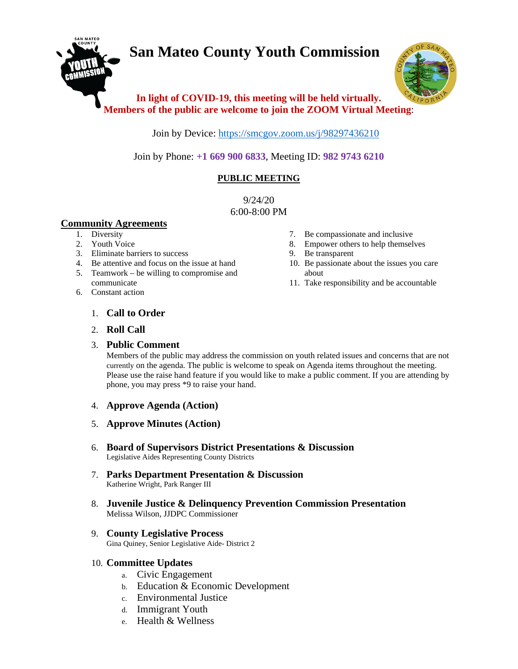# **San Mateo County Youth Commission**



# **In light of COVID-19, this meeting will be held virtually. Members of the public are welcome to join the ZOOM Virtual Meeting**:

Join by Device:<https://smcgov.zoom.us/j/98297436210>

Join by Phone: **+1 669 900 6833**, Meeting ID: **982 9743 6210**

# **PUBLIC MEETING**

9/24/20 6:00-8:00 PM

# **Community Agreements**

- 1. Diversity
- 2. Youth Voice
- 3. Eliminate barriers to success
- 4. Be attentive and focus on the issue at hand
- 5. Teamwork be willing to compromise and communicate
- 6. Constant action
- 7. Be compassionate and inclusive
- 8. Empower others to help themselves
- 9. Be transparent
- 10. Be passionate about the issues you care about
- 11. Take responsibility and be accountable

- 1. **Call to Order**
- 2. **Roll Call**

# 3. **Public Comment**

Members of the public may address the commission on youth related issues and concerns that are not currently on the agenda. The public is welcome to speak on Agenda items throughout the meeting. Please use the raise hand feature if you would like to make a public comment. If you are attending by phone, you may press \*9 to raise your hand.

- 4. **Approve Agenda (Action)**
- 5. **Approve Minutes (Action)**
- 6. **Board of Supervisors District Presentations & Discussion** Legislative Aides Representing County Districts
- 7. **Parks Department Presentation & Discussion** Katherine Wright, Park Ranger III
- 8. **Juvenile Justice & Delinquency Prevention Commission Presentation** Melissa Wilson, JJDPC Commissioner

#### 9. **County Legislative Process** Gina Quiney, Senior Legislative Aide- District 2

# 10. **Committee Updates**

- a. Civic Engagement
- b. Education & Economic Development
- c. Environmental Justice
- d. Immigrant Youth
- e. Health & Wellness